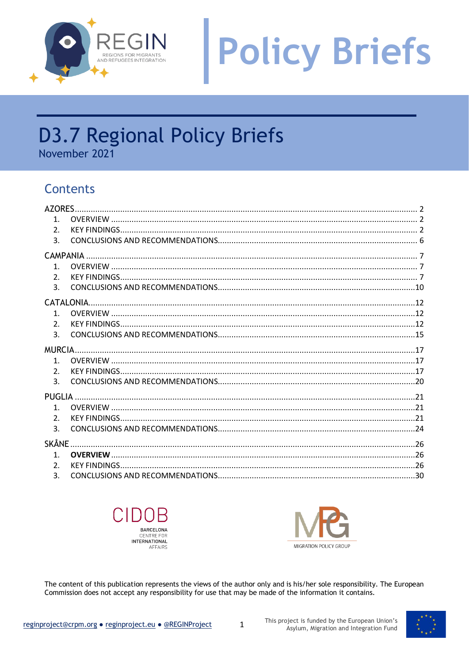

# **Policy Briefs**

## **D3.7 Regional Policy Briefs**

November 2021

### Contents

| 1 <sup>1</sup> |              |  |
|----------------|--------------|--|
| 2 <sub>1</sub> |              |  |
| 3.             |              |  |
|                |              |  |
| 1 <sub>1</sub> |              |  |
| 2 <sub>1</sub> |              |  |
| 3.             |              |  |
|                |              |  |
| 1 <sub>1</sub> |              |  |
| 2.             |              |  |
| 3.             |              |  |
|                |              |  |
| 1 <sup>1</sup> |              |  |
| 2.             |              |  |
| 3.             |              |  |
|                |              |  |
| $\mathbf{1}$ . |              |  |
| 2.             |              |  |
| 3.             |              |  |
|                | <b>SKÅNE</b> |  |
| $\mathbf{1}$ . |              |  |
| 2 <sub>1</sub> |              |  |
| 3.             |              |  |





The content of this publication represents the views of the author only and is his/her sole responsibility. The European Commission does not accept any responsibility for use that may be made of the information it contains.

 $\mathbf{1}$ 

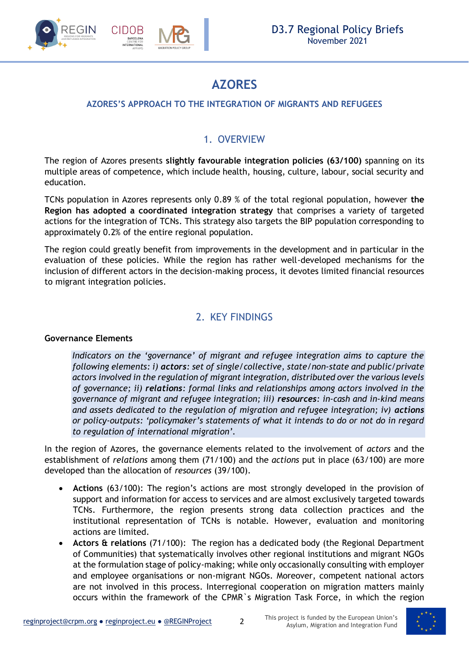

### **AZORES**

### <span id="page-1-0"></span>**AZORES'S APPROACH TO THE INTEGRATION OF MIGRANTS AND REFUGEES**

### 1. OVERVIEW

<span id="page-1-1"></span>The region of Azores presents **slightly favourable integration policies (63/100)** spanning on its multiple areas of competence, which include health, housing, culture, labour, social security and education.

TCNs population in Azores represents only 0.89 % of the total regional population, however **the Region has adopted a coordinated integration strategy** that comprises a variety of targeted actions for the integration of TCNs. This strategy also targets the BIP population corresponding to approximately 0.2% of the entire regional population.

The region could greatly benefit from improvements in the development and in particular in the evaluation of these policies. While the region has rather well-developed mechanisms for the inclusion of different actors in the decision-making process, it devotes limited financial resources to migrant integration policies.

### 2. KEY FINDINGS

#### <span id="page-1-2"></span>**Governance Elements**

*Indicators on the 'governance' of migrant and refugee integration aims to capture the following elements: i) actors: set of single/collective, state/non-state and public/private actors involved in the regulation of migrant integration, distributed over the various levels of governance; ii) relations: formal links and relationships among actors involved in the governance of migrant and refugee integration; iii) resources: in-cash and in-kind means*  and assets dedicated to the regulation of migration and refugee integration; iv) actions *or policy-outputs: 'policymaker's statements of what it intends to do or not do in regard to regulation of international migration'.*

In the region of Azores, the governance elements related to the involvement of *actors* and the establishment of *relations* among them (71/100) and the *actions* put in place (63/100) are more developed than the allocation of *resources* (39/100).

- **Actions** (63/100): The region's actions are most strongly developed in the provision of support and information for access to services and are almost exclusively targeted towards TCNs. Furthermore, the region presents strong data collection practices and the institutional representation of TCNs is notable. However, evaluation and monitoring actions are limited.
- **Actors & relations** (71/100): The region has a dedicated body (the Regional Department of Communities) that systematically involves other regional institutions and migrant NGOs at the formulation stage of policy-making; while only occasionally consulting with employer and employee organisations or non-migrant NGOs. Moreover, competent national actors are not involved in this process. Interregional cooperation on migration matters mainly occurs within the framework of the CPMR`s Migration Task Force, in which the region

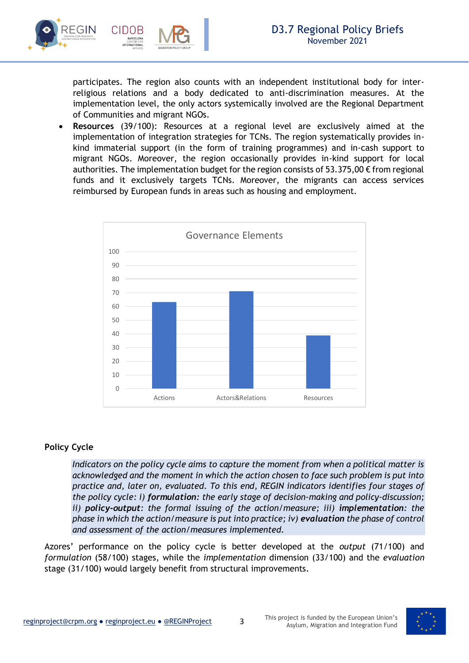

participates. The region also counts with an independent institutional body for interreligious relations and a body dedicated to anti-discrimination measures. At the implementation level, the only actors systemically involved are the Regional Department of Communities and migrant NGOs.

• **Resources** (39/100): Resources at a regional level are exclusively aimed at the implementation of integration strategies for TCNs. The region systematically provides inkind immaterial support (in the form of training programmes) and in-cash support to migrant NGOs. Moreover, the region occasionally provides in-kind support for local authorities. The implementation budget for the region consists of 53.375,00  $\epsilon$  from regional funds and it exclusively targets TCNs. Moreover, the migrants can access services reimbursed by European funds in areas such as housing and employment.



#### **Policy Cycle**

*Indicators on the policy cycle aims to capture the moment from when a political matter is acknowledged and the moment in which the action chosen to face such problem is put into practice and, later on, evaluated. To this end, REGIN indicators identifies four stages of the policy cycle: i) formulation: the early stage of decision-making and policy-discussion; ii) policy-output: the formal issuing of the action/measure; iii) implementation: the phase in which the action/measure is put into practice; iv) evaluation the phase of control and assessment of the action/measures implemented.* 

Azores' performance on the policy cycle is better developed at the *output* (71/100) and *formulation* (58/100) stages, while the *implementation* dimension (33/100) and the *evaluation* stage (31/100) would largely benefit from structural improvements.

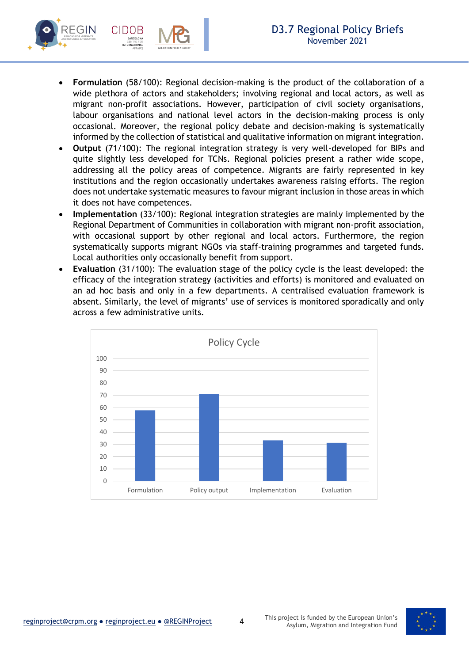

- **Formulation** (58/100): Regional decision-making is the product of the collaboration of a wide plethora of actors and stakeholders; involving regional and local actors, as well as migrant non-profit associations. However, participation of civil society organisations, labour organisations and national level actors in the decision-making process is only occasional. Moreover, the regional policy debate and decision-making is systematically informed by the collection of statistical and qualitative information on migrant integration.
- **Output** (71/100): The regional integration strategy is very well-developed for BIPs and quite slightly less developed for TCNs. Regional policies present a rather wide scope, addressing all the policy areas of competence. Migrants are fairly represented in key institutions and the region occasionally undertakes awareness raising efforts. The region does not undertake systematic measures to favour migrant inclusion in those areas in which it does not have competences.
- **Implementation** (33/100): Regional integration strategies are mainly implemented by the Regional Department of Communities in collaboration with migrant non-profit association, with occasional support by other regional and local actors. Furthermore, the region systematically supports migrant NGOs via staff-training programmes and targeted funds. Local authorities only occasionally benefit from support.
- **Evaluation** (31/100): The evaluation stage of the policy cycle is the least developed: the efficacy of the integration strategy (activities and efforts) is monitored and evaluated on an ad hoc basis and only in a few departments. A centralised evaluation framework is absent. Similarly, the level of migrants' use of services is monitored sporadically and only across a few administrative units.



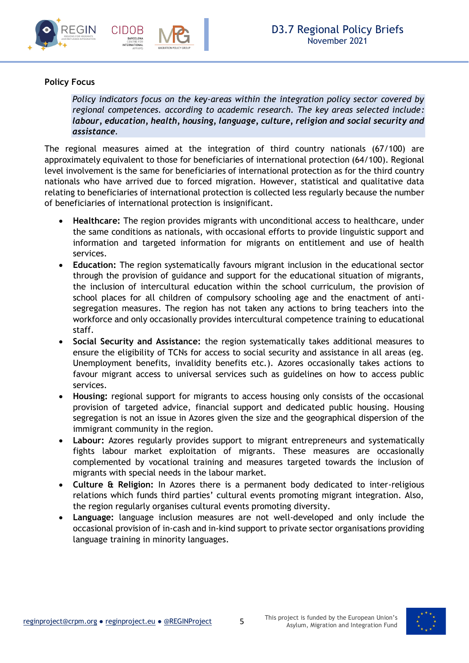



### **Policy Focus**

*Policy indicators focus on the key-areas within the integration policy sector covered by regional competences. according to academic research. The key areas selected include: labour, education, health, housing, language, culture, religion and social security and assistance.*

The regional measures aimed at the integration of third country nationals (67/100) are approximately equivalent to those for beneficiaries of international protection (64/100). Regional level involvement is the same for beneficiaries of international protection as for the third country nationals who have arrived due to forced migration. However, statistical and qualitative data relating to beneficiaries of international protection is collected less regularly because the number of beneficiaries of international protection is insignificant.

- **Healthcare:** The region provides migrants with unconditional access to healthcare, under the same conditions as nationals, with occasional efforts to provide linguistic support and information and targeted information for migrants on entitlement and use of health services.
- **Education:** The region systematically favours migrant inclusion in the educational sector through the provision of guidance and support for the educational situation of migrants, the inclusion of intercultural education within the school curriculum, the provision of school places for all children of compulsory schooling age and the enactment of antisegregation measures. The region has not taken any actions to bring teachers into the workforce and only occasionally provides intercultural competence training to educational staff.
- **Social Security and Assistance:** the region systematically takes additional measures to ensure the eligibility of TCNs for access to social security and assistance in all areas (eg. Unemployment benefits, invalidity benefits etc.). Azores occasionally takes actions to favour migrant access to universal services such as guidelines on how to access public services.
- **Housing:** regional support for migrants to access housing only consists of the occasional provision of targeted advice, financial support and dedicated public housing. Housing segregation is not an issue in Azores given the size and the geographical dispersion of the immigrant community in the region.
- **Labour:** Azores regularly provides support to migrant entrepreneurs and systematically fights labour market exploitation of migrants. These measures are occasionally complemented by vocational training and measures targeted towards the inclusion of migrants with special needs in the labour market.
- **Culture & Religion:** In Azores there is a permanent body dedicated to inter-religious relations which funds third parties' cultural events promoting migrant integration. Also, the region regularly organises cultural events promoting diversity.
- <span id="page-4-0"></span>• **Language:** language inclusion measures are not well-developed and only include the occasional provision of in-cash and in-kind support to private sector organisations providing language training in minority languages.

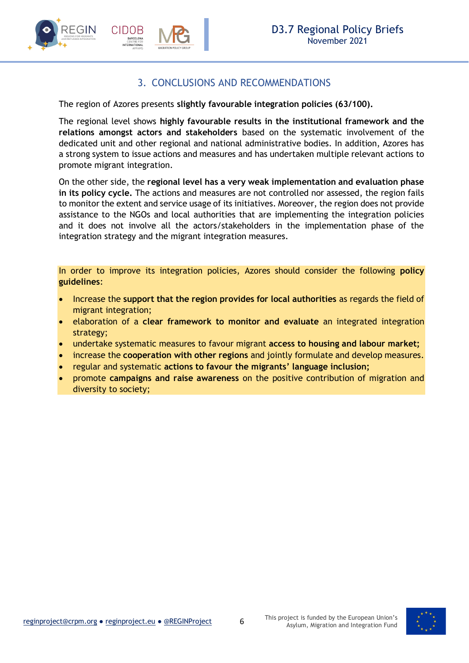

### 3. CONCLUSIONS AND RECOMMENDATIONS

The region of Azores presents **slightly favourable integration policies (63/100).**

The regional level shows **highly favourable results in the institutional framework and the relations amongst actors and stakeholders** based on the systematic involvement of the dedicated unit and other regional and national administrative bodies. In addition, Azores has a strong system to issue actions and measures and has undertaken multiple relevant actions to promote migrant integration.

On the other side, the **regional level has a very weak implementation and evaluation phase in its policy cycle.** The actions and measures are not controlled nor assessed, the region fails to monitor the extent and service usage of its initiatives. Moreover, the region does not provide assistance to the NGOs and local authorities that are implementing the integration policies and it does not involve all the actors/stakeholders in the implementation phase of the integration strategy and the migrant integration measures.

In order to improve its integration policies, Azores should consider the following **policy guidelines**:

- Increase the **support that the region provides for local authorities** as regards the field of migrant integration;
- elaboration of a **clear framework to monitor and evaluate** an integrated integration strategy;
- undertake systematic measures to favour migrant **access to housing and labour market;**
- increase the **cooperation with other regions** and jointly formulate and develop measures.
- regular and systematic **actions to favour the migrants' language inclusion;**
- promote **campaigns and raise awareness** on the positive contribution of migration and diversity to society;

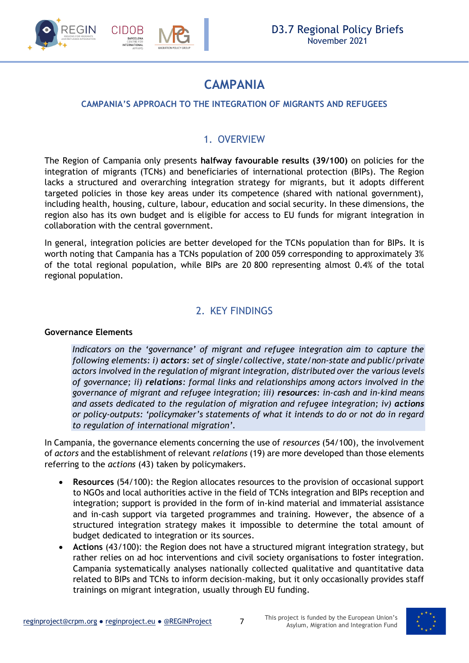

### **CAMPANIA**

### <span id="page-6-0"></span>**CAMPANIA'S APPROACH TO THE INTEGRATION OF MIGRANTS AND REFUGEES**

### 1. OVERVIEW

<span id="page-6-1"></span>The Region of Campania only presents **halfway favourable results (39/100)** on policies for the integration of migrants (TCNs) and beneficiaries of international protection (BIPs). The Region lacks a structured and overarching integration strategy for migrants, but it adopts different targeted policies in those key areas under its competence (shared with national government), including health, housing, culture, labour, education and social security. In these dimensions, the region also has its own budget and is eligible for access to EU funds for migrant integration in collaboration with the central government.

In general, integration policies are better developed for the TCNs population than for BIPs. It is worth noting that Campania has a TCNs population of 200 059 corresponding to approximately 3% of the total regional population, while BIPs are 20 800 representing almost 0.4% of the total regional population.

### 2. KEY FINDINGS

#### <span id="page-6-2"></span>**Governance Elements**

*Indicators on the 'governance' of migrant and refugee integration aim to capture the following elements: i) actors: set of single/collective, state/non-state and public/private actors involved in the regulation of migrant integration, distributed over the various levels of governance; ii) relations: formal links and relationships among actors involved in the governance of migrant and refugee integration; iii) resources: in-cash and in-kind means and assets dedicated to the regulation of migration and refugee integration; iv) actions or policy-outputs: 'policymaker's statements of what it intends to do or not do in regard to regulation of international migration'.*

In Campania, the governance elements concerning the use of *resources* (54/100), the involvement of *actors* and the establishment of relevant *relations* (19) are more developed than those elements referring to the *actions* (43) taken by policymakers.

- **Resources** (54/100): the Region allocates resources to the provision of occasional support to NGOs and local authorities active in the field of TCNs integration and BIPs reception and integration; support is provided in the form of in-kind material and immaterial assistance and in-cash support via targeted programmes and training. However, the absence of a structured integration strategy makes it impossible to determine the total amount of budget dedicated to integration or its sources.
- **Actions** (43/100): the Region does not have a structured migrant integration strategy, but rather relies on ad hoc interventions and civil society organisations to foster integration. Campania systematically analyses nationally collected qualitative and quantitative data related to BIPs and TCNs to inform decision-making, but it only occasionally provides staff trainings on migrant integration, usually through EU funding.

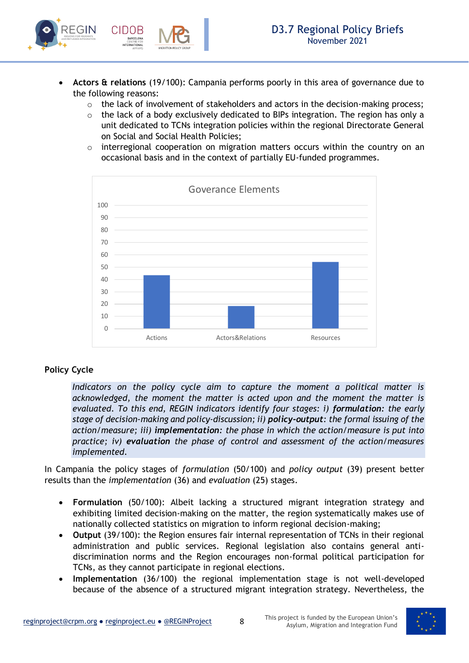

- **Actors & relations** (19/100): Campania performs poorly in this area of governance due to the following reasons:
	- o the lack of involvement of stakeholders and actors in the decision-making process;
	- $\circ$  the lack of a body exclusively dedicated to BIPs integration. The region has only a unit dedicated to TCNs integration policies within the regional Directorate General on Social and Social Health Policies;
	- interregional cooperation on migration matters occurs within the country on an occasional basis and in the context of partially EU-funded programmes.



### **Policy Cycle**

*Indicators on the policy cycle aim to capture the moment a political matter is acknowledged, the moment the matter is acted upon and the moment the matter is evaluated. To this end, REGIN indicators identify four stages: i) formulation: the early stage of decision-making and policy-discussion; ii) policy-output: the formal issuing of the action/measure; iii) implementation: the phase in which the action/measure is put into practice; iv) evaluation the phase of control and assessment of the action/measures implemented.* 

In Campania the policy stages of *formulation* (50/100) and *policy output* (39) present better results than the *implementation* (36) and *evaluation* (25) stages.

- **Formulation** (50/100): Albeit lacking a structured migrant integration strategy and exhibiting limited decision-making on the matter, the region systematically makes use of nationally collected statistics on migration to inform regional decision-making;
- **Output** (39/100): the Region ensures fair internal representation of TCNs in their regional administration and public services. Regional legislation also contains general antidiscrimination norms and the Region encourages non-formal political participation for TCNs, as they cannot participate in regional elections.
- **Implementation** (36/100) the regional implementation stage is not well-developed because of the absence of a structured migrant integration strategy. Nevertheless, the

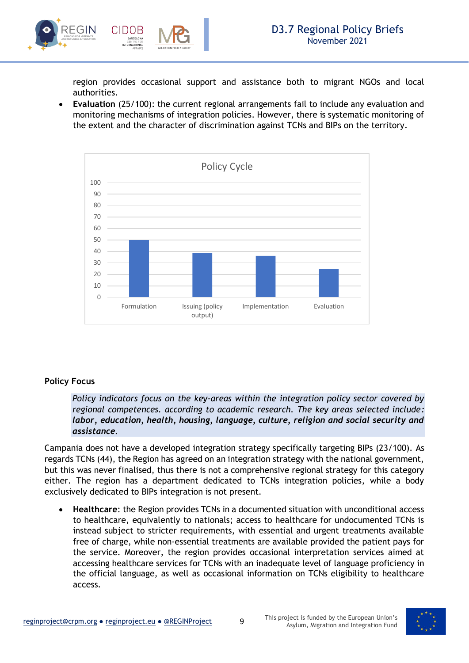

region provides occasional support and assistance both to migrant NGOs and local authorities.

• **Evaluation** (25/100): the current regional arrangements fail to include any evaluation and monitoring mechanisms of integration policies. However, there is systematic monitoring of the extent and the character of discrimination against TCNs and BIPs on the territory.



### **Policy Focus**

*Policy indicators focus on the key-areas within the integration policy sector covered by regional competences. according to academic research. The key areas selected include: labor, education, health, housing, language, culture, religion and social security and assistance.*

Campania does not have a developed integration strategy specifically targeting BIPs (23/100). As regards TCNs (44), the Region has agreed on an integration strategy with the national government, but this was never finalised, thus there is not a comprehensive regional strategy for this category either. The region has a department dedicated to TCNs integration policies, while a body exclusively dedicated to BIPs integration is not present.

• **Healthcare**: the Region provides TCNs in a documented situation with unconditional access to healthcare, equivalently to nationals; access to healthcare for undocumented TCNs is instead subject to stricter requirements, with essential and urgent treatments available free of charge, while non-essential treatments are available provided the patient pays for the service. Moreover, the region provides occasional interpretation services aimed at accessing healthcare services for TCNs with an inadequate level of language proficiency in the official language, as well as occasional information on TCNs eligibility to healthcare access.



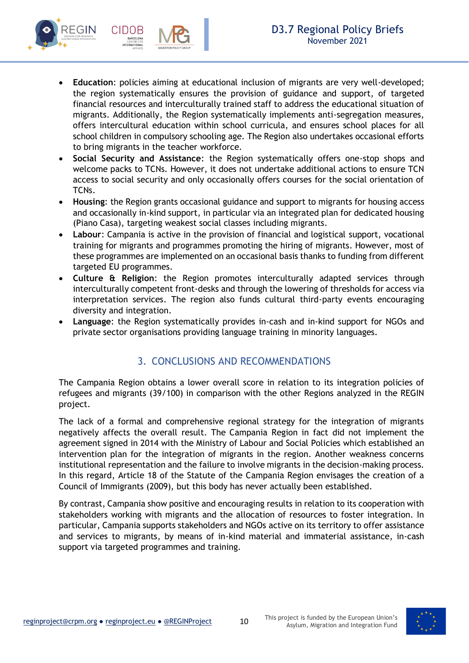

- **Education**: policies aiming at educational inclusion of migrants are very well-developed; the region systematically ensures the provision of guidance and support, of targeted financial resources and interculturally trained staff to address the educational situation of migrants. Additionally, the Region systematically implements anti-segregation measures, offers intercultural education within school curricula, and ensures school places for all school children in compulsory schooling age. The Region also undertakes occasional efforts to bring migrants in the teacher workforce.
- **Social Security and Assistance**: the Region systematically offers one-stop shops and welcome packs to TCNs. However, it does not undertake additional actions to ensure TCN access to social security and only occasionally offers courses for the social orientation of TCNs.
- **Housing**: the Region grants occasional guidance and support to migrants for housing access and occasionally in-kind support, in particular via an integrated plan for dedicated housing (Piano Casa), targeting weakest social classes including migrants.
- **Labour**: Campania is active in the provision of financial and logistical support, vocational training for migrants and programmes promoting the hiring of migrants. However, most of these programmes are implemented on an occasional basis thanks to funding from different targeted EU programmes.
- **Culture & Religion**: the Region promotes interculturally adapted services through interculturally competent front-desks and through the lowering of thresholds for access via interpretation services. The region also funds cultural third-party events encouraging diversity and integration.
- **Language**: the Region systematically provides in-cash and in-kind support for NGOs and private sector organisations providing language training in minority languages.

### 3. CONCLUSIONS AND RECOMMENDATIONS

<span id="page-9-0"></span>The Campania Region obtains a lower overall score in relation to its integration policies of refugees and migrants (39/100) in comparison with the other Regions analyzed in the REGIN project.

The lack of a formal and comprehensive regional strategy for the integration of migrants negatively affects the overall result. The Campania Region in fact did not implement the agreement signed in 2014 with the Ministry of Labour and Social Policies which established an intervention plan for the integration of migrants in the region. Another weakness concerns institutional representation and the failure to involve migrants in the decision-making process. In this regard, Article 18 of the Statute of the Campania Region envisages the creation of a Council of Immigrants (2009), but this body has never actually been established.

By contrast, Campania show positive and encouraging results in relation to its cooperation with stakeholders working with migrants and the allocation of resources to foster integration. In particular, Campania supports stakeholders and NGOs active on its territory to offer assistance and services to migrants, by means of in-kind material and immaterial assistance, in-cash support via targeted programmes and training.

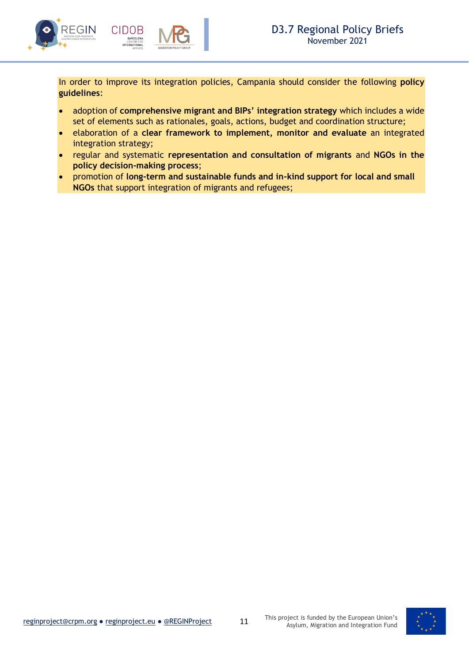

In order to improve its integration policies, Campania should consider the following **policy guidelines**:

- adoption of **comprehensive migrant and BIPs' integration strategy** which includes a wide set of elements such as rationales, goals, actions, budget and coordination structure;
- elaboration of a **clear framework to implement, monitor and evaluate** an integrated integration strategy;
- regular and systematic **representation and consultation of migrants** and **NGOs in the policy decision-making process**;
- promotion of **long-term and sustainable funds and in-kind support for local and small NGOs** that support integration of migrants and refugees;

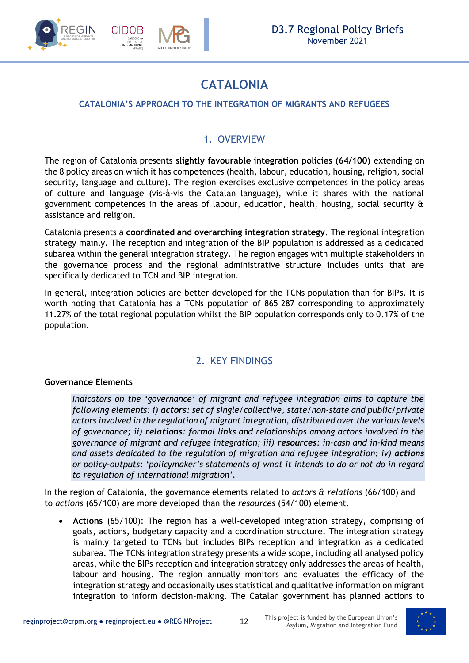

### **CATALONIA**

### <span id="page-11-0"></span>**CATALONIA'S APPROACH TO THE INTEGRATION OF MIGRANTS AND REFUGEES**

### 1. OVERVIEW

<span id="page-11-1"></span>The region of Catalonia presents **slightly favourable integration policies (64/100)** extending on the 8 policy areas on which it has competences (health, labour, education, housing, religion, social security, language and culture). The region exercises exclusive competences in the policy areas of culture and language (vis-à-vis the Catalan language), while it shares with the national government competences in the areas of labour, education, health, housing, social security & assistance and religion.

Catalonia presents a **coordinated and overarching integration strategy**. The regional integration strategy mainly. The reception and integration of the BIP population is addressed as a dedicated subarea within the general integration strategy. The region engages with multiple stakeholders in the governance process and the regional administrative structure includes units that are specifically dedicated to TCN and BIP integration.

In general, integration policies are better developed for the TCNs population than for BIPs. It is worth noting that Catalonia has a TCNs population of 865 287 corresponding to approximately 11.27% of the total regional population whilst the BIP population corresponds only to 0.17% of the population.

### 2. KEY FINDINGS

#### <span id="page-11-2"></span>**Governance Elements**

*Indicators on the 'governance' of migrant and refugee integration aims to capture the following elements: i) actors: set of single/collective, state/non-state and public/private actors involved in the regulation of migrant integration, distributed over the various levels of governance; ii) relations: formal links and relationships among actors involved in the governance of migrant and refugee integration; iii) resources: in-cash and in-kind means*  and assets dedicated to the regulation of migration and refugee integration; iv) actions *or policy-outputs: 'policymaker's statements of what it intends to do or not do in regard to regulation of international migration'.*

In the region of Catalonia, the governance elements related to *actors & relations* (66/100) and to *actions* (65/100) are more developed than the *resources* (54/100) element.

• **Actions** (65/100): The region has a well-developed integration strategy, comprising of goals, actions, budgetary capacity and a coordination structure. The integration strategy is mainly targeted to TCNs but includes BIPs reception and integration as a dedicated subarea. The TCNs integration strategy presents a wide scope, including all analysed policy areas, while the BIPs reception and integration strategy only addresses the areas of health, labour and housing. The region annually monitors and evaluates the efficacy of the integration strategy and occasionally uses statistical and qualitative information on migrant integration to inform decision-making. The Catalan government has planned actions to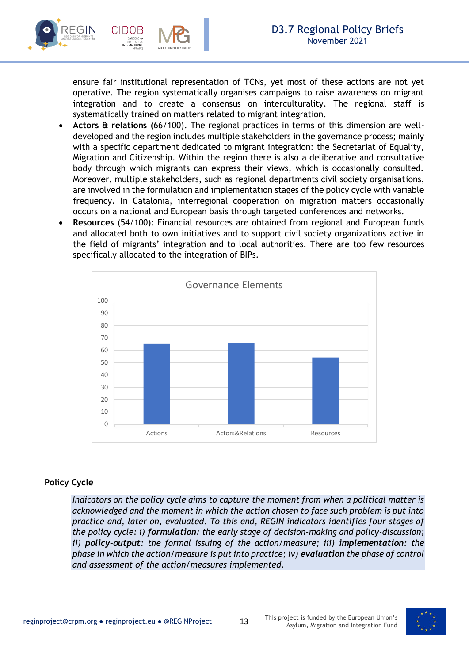

ensure fair institutional representation of TCNs, yet most of these actions are not yet operative. The region systematically organises campaigns to raise awareness on migrant integration and to create a consensus on interculturality. The regional staff is systematically trained on matters related to migrant integration.

- **Actors & relations** (66/100). The regional practices in terms of this dimension are welldeveloped and the region includes multiple stakeholders in the governance process; mainly with a specific department dedicated to migrant integration: the Secretariat of Equality, Migration and Citizenship. Within the region there is also a deliberative and consultative body through which migrants can express their views, which is occasionally consulted. Moreover, multiple stakeholders, such as regional departments civil society organisations, are involved in the formulation and implementation stages of the policy cycle with variable frequency. In Catalonia, interregional cooperation on migration matters occasionally occurs on a national and European basis through targeted conferences and networks.
- **Resources** (54/100): Financial resources are obtained from regional and European funds and allocated both to own initiatives and to support civil society organizations active in the field of migrants' integration and to local authorities. There are too few resources specifically allocated to the integration of BIPs.



### **Policy Cycle**

*Indicators on the policy cycle aims to capture the moment from when a political matter is acknowledged and the moment in which the action chosen to face such problem is put into practice and, later on, evaluated. To this end, REGIN indicators identifies four stages of the policy cycle: i) formulation: the early stage of decision-making and policy-discussion; ii) policy-output: the formal issuing of the action/measure; iii) implementation: the phase in which the action/measure is put into practice; iv) evaluation the phase of control and assessment of the action/measures implemented.*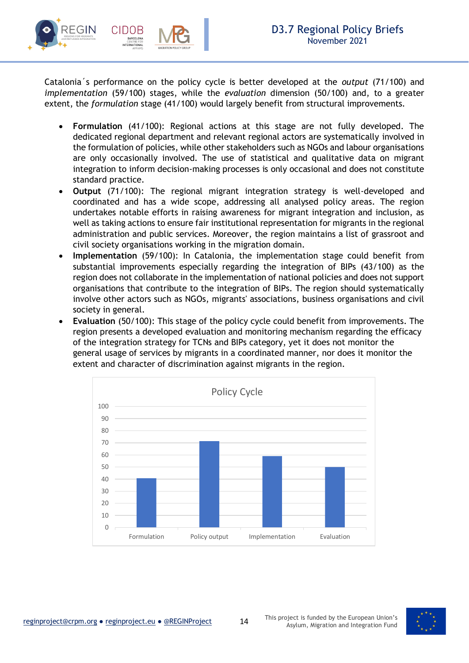

Catalonia´s performance on the policy cycle is better developed at the *output* (71/100) and *implementation* (59/100) stages, while the *evaluation* dimension (50/100) and, to a greater extent, the *formulation* stage (41/100) would largely benefit from structural improvements.

- **Formulation** (41/100): Regional actions at this stage are not fully developed. The dedicated regional department and relevant regional actors are systematically involved in the formulation of policies, while other stakeholders such as NGOs and labour organisations are only occasionally involved. The use of statistical and qualitative data on migrant integration to inform decision-making processes is only occasional and does not constitute standard practice.
- **Output** (71/100): The regional migrant integration strategy is well-developed and coordinated and has a wide scope, addressing all analysed policy areas. The region undertakes notable efforts in raising awareness for migrant integration and inclusion, as well as taking actions to ensure fair institutional representation for migrants in the regional administration and public services. Moreover, the region maintains a list of grassroot and civil society organisations working in the migration domain.
- **Implementation** (59/100): In Catalonia, the implementation stage could benefit from substantial improvements especially regarding the integration of BIPs (43/100) as the region does not collaborate in the implementation of national policies and does not support organisations that contribute to the integration of BIPs. The region should systematically involve other actors such as NGOs, migrants' associations, business organisations and civil society in general.
- **Evaluation** (50/100): This stage of the policy cycle could benefit from improvements. The region presents a developed evaluation and monitoring mechanism regarding the efficacy of the integration strategy for TCNs and BIPs category, yet it does not monitor the general usage of services by migrants in a coordinated manner, nor does it monitor the extent and character of discrimination against migrants in the region.



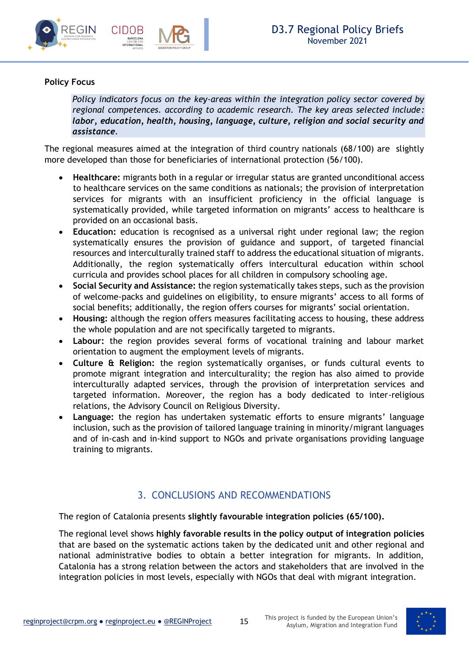



### **Policy Focus**

*Policy indicators focus on the key-areas within the integration policy sector covered by regional competences. according to academic research. The key areas selected include: labor, education, health, housing, language, culture, religion and social security and assistance.*

The regional measures aimed at the integration of third country nationals (68/100) are slightly more developed than those for beneficiaries of international protection (56/100).

- **Healthcare:** migrants both in a regular or irregular status are granted unconditional access to healthcare services on the same conditions as nationals; the provision of interpretation services for migrants with an insufficient proficiency in the official language is systematically provided, while targeted information on migrants' access to healthcare is provided on an occasional basis.
- **Education:** education is recognised as a universal right under regional law; the region systematically ensures the provision of guidance and support, of targeted financial resources and interculturally trained staff to address the educational situation of migrants. Additionally, the region systematically offers intercultural education within school curricula and provides school places for all children in compulsory schooling age.
- **Social Security and Assistance:** the region systematically takes steps, such as the provision of welcome-packs and guidelines on eligibility, to ensure migrants' access to all forms of social benefits; additionally, the region offers courses for migrants' social orientation.
- **Housing:** although the region offers measures facilitating access to housing, these address the whole population and are not specifically targeted to migrants.
- **Labour:** the region provides several forms of vocational training and labour market orientation to augment the employment levels of migrants.
- **Culture & Religion:** the region systematically organises, or funds cultural events to promote migrant integration and interculturality; the region has also aimed to provide interculturally adapted services, through the provision of interpretation services and targeted information. Moreover, the region has a body dedicated to inter-religious relations, the Advisory Council on Religious Diversity.
- **Language:** the region has undertaken systematic efforts to ensure migrants' language inclusion, such as the provision of tailored language training in minority/migrant languages and of in-cash and in-kind support to NGOs and private organisations providing language training to migrants.

### 3. CONCLUSIONS AND RECOMMENDATIONS

<span id="page-14-0"></span>The region of Catalonia presents **slightly favourable integration policies (65/100).**

The regional level shows **highly favorable results in the policy output of integration policies** that are based on the systematic actions taken by the dedicated unit and other regional and national administrative bodies to obtain a better integration for migrants. In addition, Catalonia has a strong relation between the actors and stakeholders that are involved in the integration policies in most levels, especially with NGOs that deal with migrant integration.

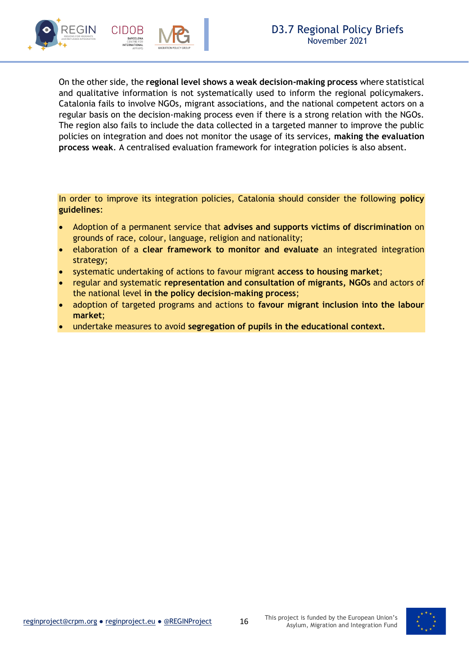

On the other side, the **regional level shows a weak decision-making process** where statistical and qualitative information is not systematically used to inform the regional policymakers. Catalonia fails to involve NGOs, migrant associations, and the national competent actors on a regular basis on the decision-making process even if there is a strong relation with the NGOs. The region also fails to include the data collected in a targeted manner to improve the public policies on integration and does not monitor the usage of its services, **making the evaluation process weak**. A centralised evaluation framework for integration policies is also absent.

In order to improve its integration policies, Catalonia should consider the following **policy guidelines**:

- Adoption of a permanent service that **advises and supports victims of discrimination** on grounds of race, colour, language, religion and nationality;
- elaboration of a **clear framework to monitor and evaluate** an integrated integration strategy;
- systematic undertaking of actions to favour migrant **access to housing market**;
- regular and systematic **representation and consultation of migrants, NGOs** and actors of the national level **in the policy decision-making process**;
- adoption of targeted programs and actions to **favour migrant inclusion into the labour market**;
- undertake measures to avoid **segregation of pupils in the educational context.**

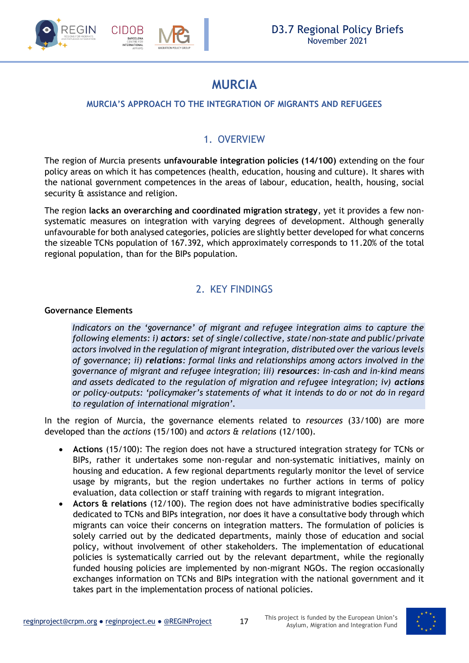

### **MURCIA**

### <span id="page-16-0"></span>**MURCIA'S APPROACH TO THE INTEGRATION OF MIGRANTS AND REFUGEES**

### 1. OVERVIEW

<span id="page-16-1"></span>The region of Murcia presents **unfavourable integration policies (14/100)** extending on the four policy areas on which it has competences (health, education, housing and culture). It shares with the national government competences in the areas of labour, education, health, housing, social security & assistance and religion.

The region **lacks an overarching and coordinated migration strategy**, yet it provides a few nonsystematic measures on integration with varying degrees of development. Although generally unfavourable for both analysed categories, policies are slightly better developed for what concerns the sizeable TCNs population of 167.392, which approximately corresponds to 11.20% of the total regional population, than for the BIPs population.

### 2. KEY FINDINGS

### <span id="page-16-2"></span>**Governance Elements**

*Indicators on the 'governance' of migrant and refugee integration aims to capture the following elements: i) actors: set of single/collective, state/non-state and public/private actors involved in the regulation of migrant integration, distributed over the various levels of governance; ii) relations: formal links and relationships among actors involved in the governance of migrant and refugee integration; iii) resources: in-cash and in-kind means and assets dedicated to the regulation of migration and refugee integration; iv) actions or policy-outputs: 'policymaker's statements of what it intends to do or not do in regard to regulation of international migration'.*

In the region of Murcia, the governance elements related to *resources* (33/100) are more developed than the *actions* (15/100) and *actors & relations* (12/100).

- **Actions** (15/100): The region does not have a structured integration strategy for TCNs or BIPs, rather it undertakes some non-regular and non-systematic initiatives, mainly on housing and education. A few regional departments regularly monitor the level of service usage by migrants, but the region undertakes no further actions in terms of policy evaluation, data collection or staff training with regards to migrant integration.
- **Actors & relations** (12/100). The region does not have administrative bodies specifically dedicated to TCNs and BIPs integration, nor does it have a consultative body through which migrants can voice their concerns on integration matters. The formulation of policies is solely carried out by the dedicated departments, mainly those of education and social policy, without involvement of other stakeholders. The implementation of educational policies is systematically carried out by the relevant department, while the regionally funded housing policies are implemented by non-migrant NGOs. The region occasionally exchanges information on TCNs and BIPs integration with the national government and it takes part in the implementation process of national policies.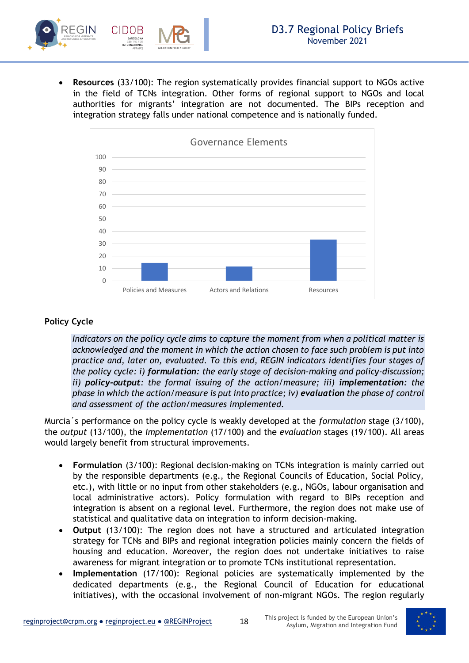• **Resources** (33/100): The region systematically provides financial support to NGOs active in the field of TCNs integration. Other forms of regional support to NGOs and local authorities for migrants' integration are not documented. The BIPs reception and integration strategy falls under national competence and is nationally funded.



### **Policy Cycle**

*Indicators on the policy cycle aims to capture the moment from when a political matter is acknowledged and the moment in which the action chosen to face such problem is put into practice and, later on, evaluated. To this end, REGIN indicators identifies four stages of the policy cycle: i) formulation: the early stage of decision-making and policy-discussion; ii) policy-output: the formal issuing of the action/measure; iii) implementation: the phase in which the action/measure is put into practice; iv) evaluation the phase of control and assessment of the action/measures implemented.* 

Murcia´s performance on the policy cycle is weakly developed at the *formulation* stage (3/100), the *output* (13/100), the *implementation* (17/100) and the *evaluation* stages (19/100). All areas would largely benefit from structural improvements.

- **Formulation** (3/100): Regional decision-making on TCNs integration is mainly carried out by the responsible departments (e.g., the Regional Councils of Education, Social Policy, etc.), with little or no input from other stakeholders (e.g., NGOs, labour organisation and local administrative actors). Policy formulation with regard to BIPs reception and integration is absent on a regional level. Furthermore, the region does not make use of statistical and qualitative data on integration to inform decision-making.
- **Output** (13/100): The region does not have a structured and articulated integration strategy for TCNs and BIPs and regional integration policies mainly concern the fields of housing and education. Moreover, the region does not undertake initiatives to raise awareness for migrant integration or to promote TCNs institutional representation.
- **Implementation** (17/100): Regional policies are systematically implemented by the dedicated departments (e.g., the Regional Council of Education for educational initiatives), with the occasional involvement of non-migrant NGOs. The region regularly

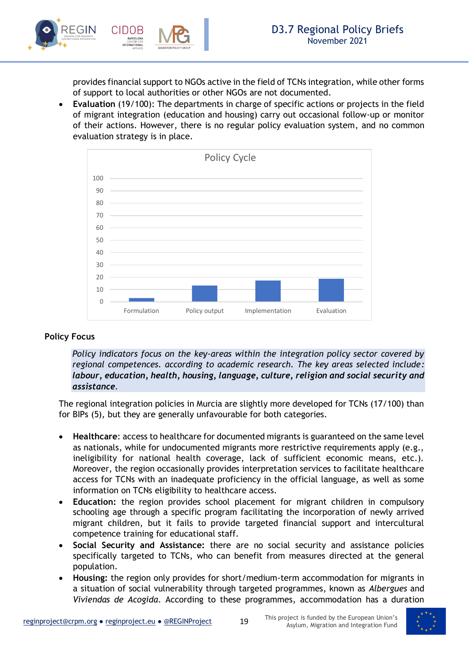

provides financial support to NGOs active in the field of TCNs integration, while other forms of support to local authorities or other NGOs are not documented.

• **Evaluation** (19/100): The departments in charge of specific actions or projects in the field of migrant integration (education and housing) carry out occasional follow-up or monitor of their actions. However, there is no regular policy evaluation system, and no common evaluation strategy is in place.



### **Policy Focus**

*Policy indicators focus on the key-areas within the integration policy sector covered by regional competences. according to academic research. The key areas selected include: labour, education, health, housing, language, culture, religion and social security and assistance.*

The regional integration policies in Murcia are slightly more developed for TCNs (17/100) than for BIPs (5), but they are generally unfavourable for both categories.

- **Healthcare**: access to healthcare for documented migrants is guaranteed on the same level as nationals, while for undocumented migrants more restrictive requirements apply (e.g., ineligibility for national health coverage, lack of sufficient economic means, etc.). Moreover, the region occasionally provides interpretation services to facilitate healthcare access for TCNs with an inadequate proficiency in the official language, as well as some information on TCNs eligibility to healthcare access.
- **Education:** the region provides school placement for migrant children in compulsory schooling age through a specific program facilitating the incorporation of newly arrived migrant children, but it fails to provide targeted financial support and intercultural competence training for educational staff.
- **Social Security and Assistance:** there are no social security and assistance policies specifically targeted to TCNs, who can benefit from measures directed at the general population.
- **Housing:** the region only provides for short/medium-term accommodation for migrants in a situation of social vulnerability through targeted programmes, known as *Albergues* and *Viviendas de Acogida*. According to these programmes, accommodation has a duration

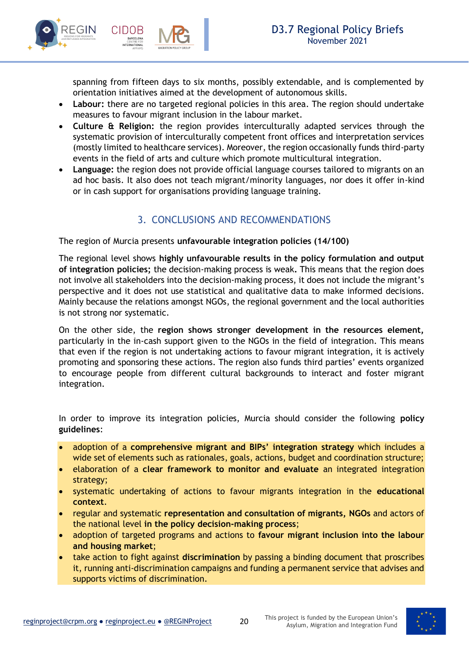

spanning from fifteen days to six months, possibly extendable, and is complemented by orientation initiatives aimed at the development of autonomous skills.

- **Labour:** there are no targeted regional policies in this area. The region should undertake measures to favour migrant inclusion in the labour market.
- **Culture & Religion:** the region provides interculturally adapted services through the systematic provision of interculturally competent front offices and interpretation services (mostly limited to healthcare services). Moreover, the region occasionally funds third-party events in the field of arts and culture which promote multicultural integration.
- **Language:** the region does not provide official language courses tailored to migrants on an ad hoc basis. It also does not teach migrant/minority languages, nor does it offer in-kind or in cash support for organisations providing language training.

### 3. CONCLUSIONS AND RECOMMENDATIONS

<span id="page-19-0"></span>The region of Murcia presents **unfavourable integration policies (14/100)** 

The regional level shows **highly unfavourable results in the policy formulation and output of integration policies;** the decision-making process is weak**.** This means that the region does not involve all stakeholders into the decision-making process, it does not include the migrant's perspective and it does not use statistical and qualitative data to make informed decisions. Mainly because the relations amongst NGOs, the regional government and the local authorities is not strong nor systematic.

On the other side, the **region shows stronger development in the resources element,**  particularly in the in-cash support given to the NGOs in the field of integration. This means that even if the region is not undertaking actions to favour migrant integration, it is actively promoting and sponsoring these actions. The region also funds third parties' events organized to encourage people from different cultural backgrounds to interact and foster migrant integration.

In order to improve its integration policies, Murcia should consider the following **policy guidelines**:

- adoption of a **comprehensive migrant and BIPs' integration strategy** which includes a wide set of elements such as rationales, goals, actions, budget and coordination structure;
- elaboration of a **clear framework to monitor and evaluate** an integrated integration strategy;
- systematic undertaking of actions to favour migrants integration in the **educational context**.
- regular and systematic **representation and consultation of migrants, NGOs** and actors of the national level **in the policy decision-making process**;
- adoption of targeted programs and actions to **favour migrant inclusion into the labour and housing market**;
- take action to fight against **discrimination** by passing a binding document that proscribes it, running anti-discrimination campaigns and funding a permanent service that advises and supports victims of discrimination.

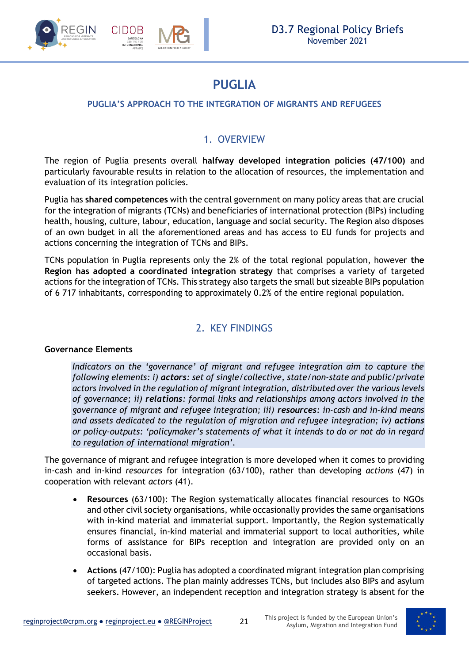

### **PUGLIA**

### <span id="page-20-0"></span>**PUGLIA'S APPROACH TO THE INTEGRATION OF MIGRANTS AND REFUGEES**

### 1. OVERVIEW

<span id="page-20-1"></span>The region of Puglia presents overall **halfway developed integration policies (47/100)** and particularly favourable results in relation to the allocation of resources, the implementation and evaluation of its integration policies.

Puglia has **shared competences** with the central government on many policy areas that are crucial for the integration of migrants (TCNs) and beneficiaries of international protection (BIPs) including health, housing, culture, labour, education, language and social security. The Region also disposes of an own budget in all the aforementioned areas and has access to EU funds for projects and actions concerning the integration of TCNs and BIPs.

TCNs population in Puglia represents only the 2% of the total regional population, however **the Region has adopted a coordinated integration strategy** that comprises a variety of targeted actions for the integration of TCNs. This strategy also targets the small but sizeable BIPs population of 6 717 inhabitants, corresponding to approximately 0.2% of the entire regional population.

### 2. KEY FINDINGS

#### <span id="page-20-2"></span>**Governance Elements**

*Indicators on the 'governance' of migrant and refugee integration aim to capture the following elements: i) actors: set of single/collective, state/non-state and public/private actors involved in the regulation of migrant integration, distributed over the various levels of governance; ii) relations: formal links and relationships among actors involved in the governance of migrant and refugee integration; iii) resources: in-cash and in-kind means*  and assets dedicated to the regulation of migration and refugee integration; iv) actions *or policy-outputs: 'policymaker's statements of what it intends to do or not do in regard to regulation of international migration'.*

The governance of migrant and refugee integration is more developed when it comes to providing in-cash and in-kind *resources* for integration (63/100), rather than developing *actions* (47) in cooperation with relevant *actors* (41).

- **Resources** (63/100): The Region systematically allocates financial resources to NGOs and other civil society organisations, while occasionally provides the same organisations with in-kind material and immaterial support. Importantly, the Region systematically ensures financial, in-kind material and immaterial support to local authorities, while forms of assistance for BIPs reception and integration are provided only on an occasional basis.
- **Actions** (47/100): Puglia has adopted a coordinated migrant integration plan comprising of targeted actions. The plan mainly addresses TCNs, but includes also BIPs and asylum seekers. However, an independent reception and integration strategy is absent for the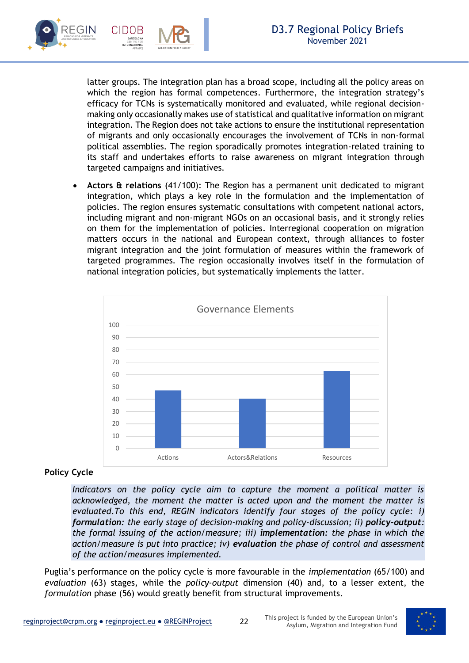

latter groups. The integration plan has a broad scope, including all the policy areas on which the region has formal competences. Furthermore, the integration strategy's efficacy for TCNs is systematically monitored and evaluated, while regional decisionmaking only occasionally makes use of statistical and qualitative information on migrant integration. The Region does not take actions to ensure the institutional representation of migrants and only occasionally encourages the involvement of TCNs in non-formal political assemblies. The region sporadically promotes integration-related training to its staff and undertakes efforts to raise awareness on migrant integration through targeted campaigns and initiatives.

• **Actors & relations** (41/100): The Region has a permanent unit dedicated to migrant integration, which plays a key role in the formulation and the implementation of policies. The region ensures systematic consultations with competent national actors, including migrant and non-migrant NGOs on an occasional basis, and it strongly relies on them for the implementation of policies. Interregional cooperation on migration matters occurs in the national and European context, through alliances to foster migrant integration and the joint formulation of measures within the framework of targeted programmes. The region occasionally involves itself in the formulation of national integration policies, but systematically implements the latter.



### **Policy Cycle**

*Indicators on the policy cycle aim to capture the moment a political matter is acknowledged, the moment the matter is acted upon and the moment the matter is evaluated.To this end, REGIN indicators identify four stages of the policy cycle: i) formulation: the early stage of decision-making and policy-discussion; ii) policy-output: the formal issuing of the action/measure; iii) implementation: the phase in which the action/measure is put into practice; iv) evaluation the phase of control and assessment of the action/measures implemented.* 

Puglia's performance on the policy cycle is more favourable in the *implementation* (65/100) and *evaluation* (63) stages, while the *policy*-*output* dimension (40) and, to a lesser extent, the *formulation* phase (56) would greatly benefit from structural improvements.

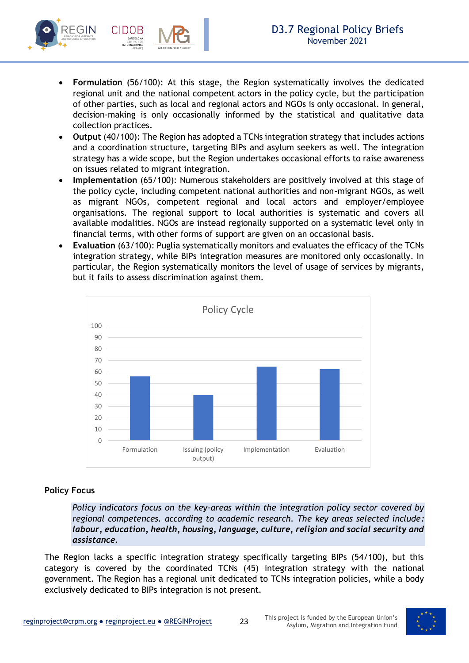

- **Formulation** (56/100): At this stage, the Region systematically involves the dedicated regional unit and the national competent actors in the policy cycle, but the participation of other parties, such as local and regional actors and NGOs is only occasional. In general, decision-making is only occasionally informed by the statistical and qualitative data collection practices.
- **Output** (40/100): The Region has adopted a TCNs integration strategy that includes actions and a coordination structure, targeting BIPs and asylum seekers as well. The integration strategy has a wide scope, but the Region undertakes occasional efforts to raise awareness on issues related to migrant integration.
- **Implementation** (65/100): Numerous stakeholders are positively involved at this stage of the policy cycle, including competent national authorities and non-migrant NGOs, as well as migrant NGOs, competent regional and local actors and employer/employee organisations. The regional support to local authorities is systematic and covers all available modalities. NGOs are instead regionally supported on a systematic level only in financial terms, with other forms of support are given on an occasional basis.
- **Evaluation** (63/100): Puglia systematically monitors and evaluates the efficacy of the TCNs integration strategy, while BIPs integration measures are monitored only occasionally. In particular, the Region systematically monitors the level of usage of services by migrants, but it fails to assess discrimination against them.



### **Policy Focus**

*Policy indicators focus on the key-areas within the integration policy sector covered by regional competences. according to academic research. The key areas selected include: labour, education, health, housing, language, culture, religion and social security and assistance.*

The Region lacks a specific integration strategy specifically targeting BIPs (54/100), but this category is covered by the coordinated TCNs (45) integration strategy with the national government. The Region has a regional unit dedicated to TCNs integration policies, while a body exclusively dedicated to BIPs integration is not present.

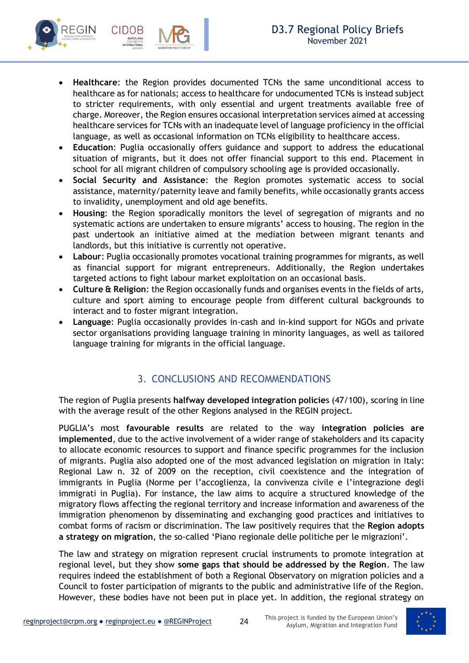

- **Education**: Puglia occasionally offers guidance and support to address the educational situation of migrants, but it does not offer financial support to this end. Placement in school for all migrant children of compulsory schooling age is provided occasionally.
- **Social Security and Assistance**: the Region promotes systematic access to social assistance, maternity/paternity leave and family benefits, while occasionally grants access to invalidity, unemployment and old age benefits.
- **Housing**: the Region sporadically monitors the level of segregation of migrants and no systematic actions are undertaken to ensure migrants' access to housing. The region in the past undertook an initiative aimed at the mediation between migrant tenants and landlords, but this initiative is currently not operative.
- **Labour**: Puglia occasionally promotes vocational training programmes for migrants, as well as financial support for migrant entrepreneurs. Additionally, the Region undertakes targeted actions to fight labour market exploitation on an occasional basis.
- **Culture & Religion**: the Region occasionally funds and organises events in the fields of arts, culture and sport aiming to encourage people from different cultural backgrounds to interact and to foster migrant integration.
- **Language**: Puglia occasionally provides in-cash and in-kind support for NGOs and private sector organisations providing language training in minority languages, as well as tailored language training for migrants in the official language.

### 3. CONCLUSIONS AND RECOMMENDATIONS

<span id="page-23-0"></span>The region of Puglia presents **halfway developed integration policie**s (47/100), scoring in line with the average result of the other Regions analysed in the REGIN project.

PUGLIA's most **favourable results** are related to the way **integration policies are implemented**, due to the active involvement of a wider range of stakeholders and its capacity to allocate economic resources to support and finance specific programmes for the inclusion of migrants. Puglia also adopted one of the most advanced legislation on migration in Italy: Regional Law n. 32 of 2009 on the reception, civil coexistence and the integration of immigrants in Puglia (Norme per l'accoglienza, la convivenza civile e l'integrazione degli immigrati in Puglia). For instance, the law aims to acquire a structured knowledge of the migratory flows affecting the regional territory and increase information and awareness of the immigration phenomenon by disseminating and exchanging good practices and initiatives to combat forms of racism or discrimination. The law positively requires that the **Region adopts a strategy on migration**, the so-called 'Piano regionale delle politiche per le migrazioni'.

The law and strategy on migration represent crucial instruments to promote integration at regional level, but they show **some gaps that should be addressed by the Region**. The law requires indeed the establishment of both a Regional Observatory on migration policies and a Council to foster participation of migrants to the public and administrative life of the Region. However, these bodies have not been put in place yet. In addition, the regional strategy on

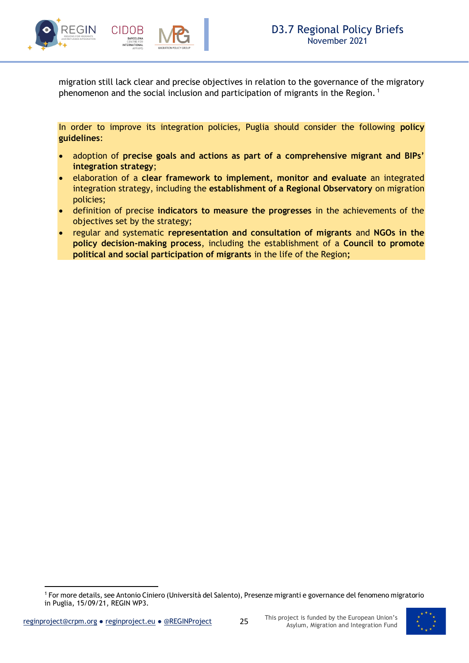

migration still lack clear and precise objectives in relation to the governance of the migratory phenomenon and the social inclusion and participation of migrants in the Region.<sup>1</sup>

In order to improve its integration policies, Puglia should consider the following **policy guidelines**:

- adoption of **precise goals and actions as part of a comprehensive migrant and BIPs' integration strategy**;
- elaboration of a **clear framework to implement, monitor and evaluate** an integrated integration strategy, including the **establishment of a Regional Observatory** on migration policies;
- definition of precise **indicators to measure the progresses** in the achievements of the objectives set by the strategy;
- regular and systematic **representation and consultation of migrants** and **NGOs in the policy decision-making process**, including the establishment of a **Council to promote political and social participation of migrants** in the life of the Region**;**



<sup>1</sup> For more details, see Antonio Ciniero (Università del Salento), Presenze migranti e governance del fenomeno migratorio in Puglia, 15/09/21, REGIN WP3.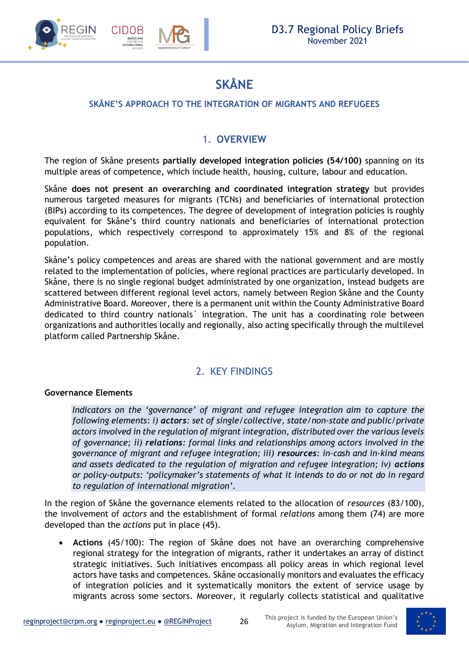

### **SKÅNE**

### <span id="page-25-0"></span>**SKÅNE'S APPROACH TO THE INTEGRATION OF MIGRANTS AND REFUGEES**

### 1. **OVERVIEW**

<span id="page-25-1"></span>The region of Skåne presents **partially developed integration policies (54/100)** spanning on its multiple areas of competence, which include health, housing, culture, labour and education.

Skåne **does not present an overarching and coordinated integration strategy** but provides numerous targeted measures for migrants (TCNs) and beneficiaries of international protection (BIPs) according to its competences. The degree of development of integration policies is roughly equivalent for Skåne's third country nationals and beneficiaries of international protection populations, which respectively correspond to approximately 15% and 8% of the regional population.

Skåne's policy competences and areas are shared with the national government and are mostly related to the implementation of policies, where regional practices are particularly developed. In Skåne, there is no single regional budget administrated by one organization, instead budgets are scattered between different regional level actors, namely between Region Skåne and the County Administrative Board. Moreover, there is a permanent unit within the County Administrative Board dedicated to third country nationals´ integration. The unit has a coordinating role between organizations and authorities locally and regionally, also acting specifically through the multilevel platform called Partnership Skåne.

### 2. KEY FINDINGS

### <span id="page-25-2"></span>**Governance Elements**

*Indicators on the 'governance' of migrant and refugee integration aim to capture the following elements: i) actors: set of single/collective, state/non-state and public/private actors involved in the regulation of migrant integration, distributed over the various levels of governance; ii) relations: formal links and relationships among actors involved in the governance of migrant and refugee integration; iii) resources: in-cash and in-kind means*  and assets dedicated to the regulation of migration and refugee integration; iv) actions *or policy-outputs: 'policymaker's statements of what it intends to do or not do in regard to regulation of international migration'.*

In the region of Skåne the governance elements related to the allocation of *resources* (83/100), the involvement of *actors* and the establishment of formal *relations* among them (74) are more developed than the *actions* put in place (45).

• **Actions** (45/100): The region of Skåne does not have an overarching comprehensive regional strategy for the integration of migrants, rather it undertakes an array of distinct strategic initiatives. Such initiatives encompass all policy areas in which regional level actors have tasks and competences. Skåne occasionally monitors and evaluates the efficacy of integration policies and it systematically monitors the extent of service usage by migrants across some sectors. Moreover, it regularly collects statistical and qualitative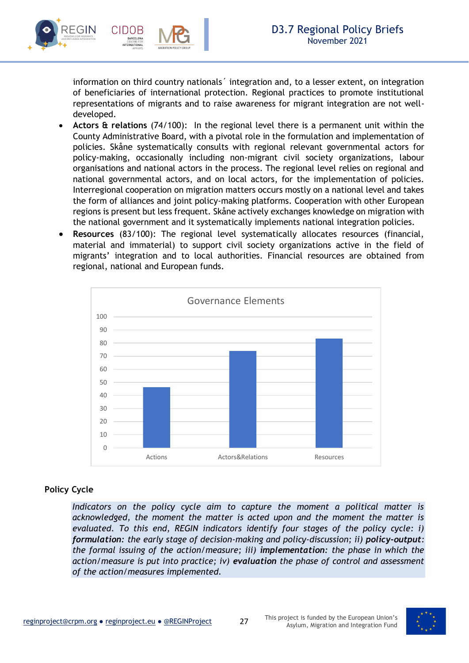

information on third country nationals´ integration and, to a lesser extent, on integration of beneficiaries of international protection. Regional practices to promote institutional representations of migrants and to raise awareness for migrant integration are not welldeveloped.

- **Actors & relations** (74/100): In the regional level there is a permanent unit within the County Administrative Board, with a pivotal role in the formulation and implementation of policies. Skåne systematically consults with regional relevant governmental actors for policy-making, occasionally including non-migrant civil society organizations, labour organisations and national actors in the process. The regional level relies on regional and national governmental actors, and on local actors, for the implementation of policies. Interregional cooperation on migration matters occurs mostly on a national level and takes the form of alliances and joint policy-making platforms. Cooperation with other European regions is present but less frequent. Skåne actively exchanges knowledge on migration with the national government and it systematically implements national integration policies.
- **Resources** (83/100): The regional level systematically allocates resources (financial, material and immaterial) to support civil society organizations active in the field of migrants' integration and to local authorities. Financial resources are obtained from regional, national and European funds.



### **Policy Cycle**

*Indicators on the policy cycle aim to capture the moment a political matter is acknowledged, the moment the matter is acted upon and the moment the matter is evaluated. To this end, REGIN indicators identify four stages of the policy cycle: i) formulation: the early stage of decision-making and policy-discussion; ii) policy-output: the formal issuing of the action/measure; iii) implementation: the phase in which the action/measure is put into practice; iv) evaluation the phase of control and assessment of the action/measures implemented.* 

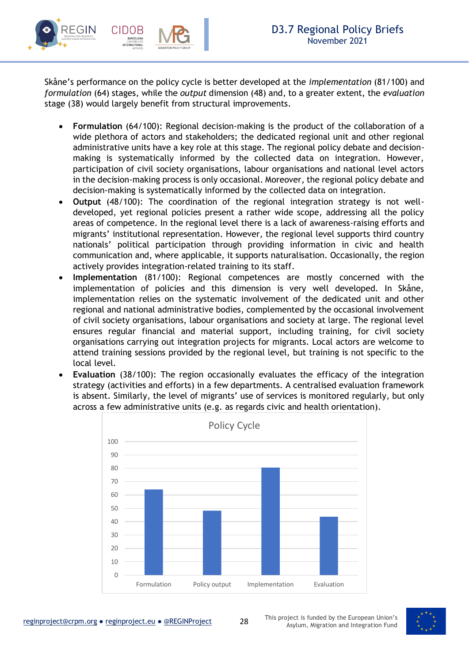Skåne's performance on the policy cycle is better developed at the *implementation* (81/100) and *formulation* (64) stages, while the *output* dimension (48) and, to a greater extent, the *evaluation* stage (38) would largely benefit from structural improvements.

- **Formulation** (64/100): Regional decision-making is the product of the collaboration of a wide plethora of actors and stakeholders; the dedicated regional unit and other regional administrative units have a key role at this stage. The regional policy debate and decisionmaking is systematically informed by the collected data on integration. However, participation of civil society organisations, labour organisations and national level actors in the decision-making process is only occasional. Moreover, the regional policy debate and decision-making is systematically informed by the collected data on integration.
- **Output** (48/100): The coordination of the regional integration strategy is not welldeveloped, yet regional policies present a rather wide scope, addressing all the policy areas of competence. In the regional level there is a lack of awareness-raising efforts and migrants' institutional representation. However, the regional level supports third country nationals' political participation through providing information in civic and health communication and, where applicable, it supports naturalisation. Occasionally, the region actively provides integration-related training to its staff.
- **Implementation** (81/100): Regional competences are mostly concerned with the implementation of policies and this dimension is very well developed. In Skåne, implementation relies on the systematic involvement of the dedicated unit and other regional and national administrative bodies, complemented by the occasional involvement of civil society organisations, labour organisations and society at large. The regional level ensures regular financial and material support, including training, for civil society organisations carrying out integration projects for migrants. Local actors are welcome to attend training sessions provided by the regional level, but training is not specific to the local level.
- **Evaluation** (38/100): The region occasionally evaluates the efficacy of the integration strategy (activities and efforts) in a few departments. A centralised evaluation framework is absent. Similarly, the level of migrants' use of services is monitored regularly, but only across a few administrative units (e.g. as regards civic and health orientation).



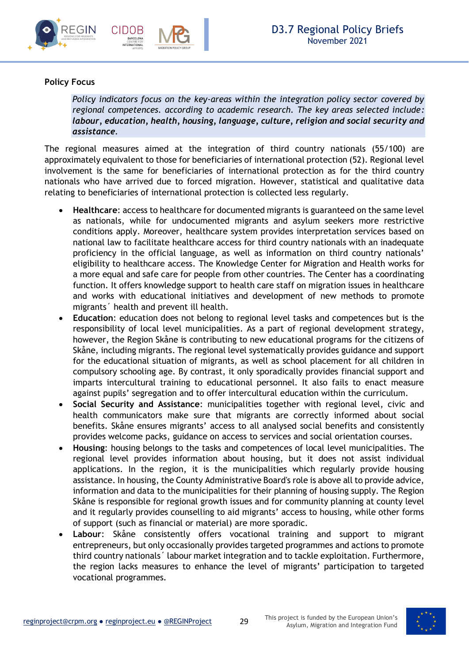



### **Policy Focus**

*Policy indicators focus on the key-areas within the integration policy sector covered by regional competences. according to academic research. The key areas selected include: labour, education, health, housing, language, culture, religion and social security and assistance.*

The regional measures aimed at the integration of third country nationals (55/100) are approximately equivalent to those for beneficiaries of international protection (52). Regional level involvement is the same for beneficiaries of international protection as for the third country nationals who have arrived due to forced migration. However, statistical and qualitative data relating to beneficiaries of international protection is collected less regularly.

- **Healthcare**: access to healthcare for documented migrants is guaranteed on the same level as nationals, while for undocumented migrants and asylum seekers more restrictive conditions apply. Moreover, healthcare system provides interpretation services based on national law to facilitate healthcare access for third country nationals with an inadequate proficiency in the official language, as well as information on third country nationals' eligibility to healthcare access. The Knowledge Center for Migration and Health works for a more equal and safe care for people from other countries. The Center has a coordinating function. It offers knowledge support to health care staff on migration issues in healthcare and works with educational initiatives and development of new methods to promote migrants´ health and prevent ill health.
- **Education**: education does not belong to regional level tasks and competences but is the responsibility of local level municipalities. As a part of regional development strategy, however, the Region Skåne is contributing to new educational programs for the citizens of Skåne, including migrants. The regional level systematically provides guidance and support for the educational situation of migrants, as well as school placement for all children in compulsory schooling age. By contrast, it only sporadically provides financial support and imparts intercultural training to educational personnel. It also fails to enact measure against pupils' segregation and to offer intercultural education within the curriculum.
- **Social Security and Assistance**: municipalities together with regional level, civic and health communicators make sure that migrants are correctly informed about social benefits. Skåne ensures migrants' access to all analysed social benefits and consistently provides welcome packs, guidance on access to services and social orientation courses.
- **Housing**: housing belongs to the tasks and competences of local level municipalities. The regional level provides information about housing, but it does not assist individual applications. In the region, it is the municipalities which regularly provide housing assistance. In housing, the County Administrative Board's role is above all to provide advice, information and data to the municipalities for their planning of housing supply. The Region Skåne is responsible for regional growth issues and for community planning at county level and it regularly provides counselling to aid migrants' access to housing, while other forms of support (such as financial or material) are more sporadic.
- **Labour**: Skåne consistently offers vocational training and support to migrant entrepreneurs, but only occasionally provides targeted programmes and actions to promote third country nationals´ labour market integration and to tackle exploitation. Furthermore, the region lacks measures to enhance the level of migrants' participation to targeted vocational programmes.